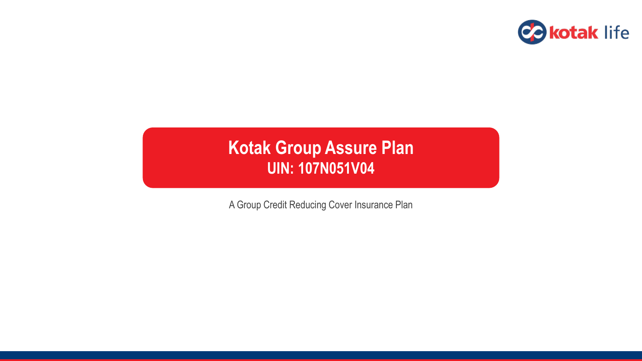

# **Kotak Group Assure Plan UIN: 107N051V04**

A Group Credit Reducing Cover Insurance Plan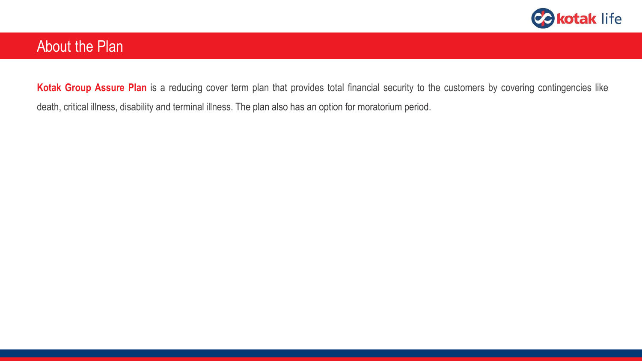

## About the Plan

**Kotak Group Assure Plan** is a reducing cover term plan that provides total financial security to the customers by covering contingencies like death, critical illness, disability and terminal illness. The plan also has an option for moratorium period.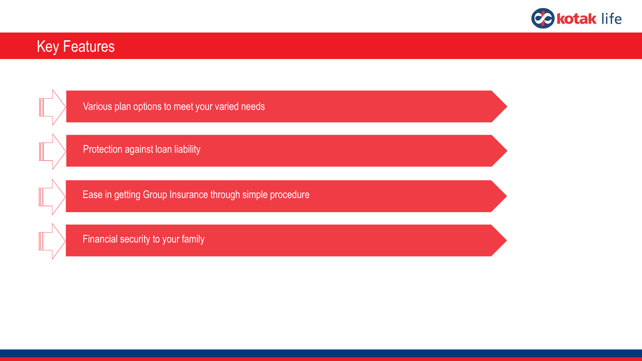

## Key Features

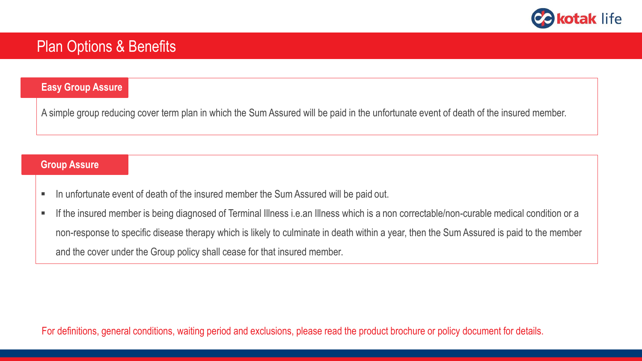

## Plan Options & Benefits

#### **Easy Group Assure**

A simple group reducing cover term plan in which the Sum Assured will be paid in the unfortunate event of death of the insured member.

#### **Group Assure**

- In unfortunate event of death of the insured member the Sum Assured will be paid out.
- If the insured member is being diagnosed of Terminal Illness i.e.an Illness which is a non correctable/non-curable medical condition or a non-response to specific disease therapy which is likely to culminate in death within a year, then the Sum Assured is paid to the member and the cover under the Group policy shall cease for that insured member.

For definitions, general conditions, waiting period and exclusions, please read the product brochure or policy document for details.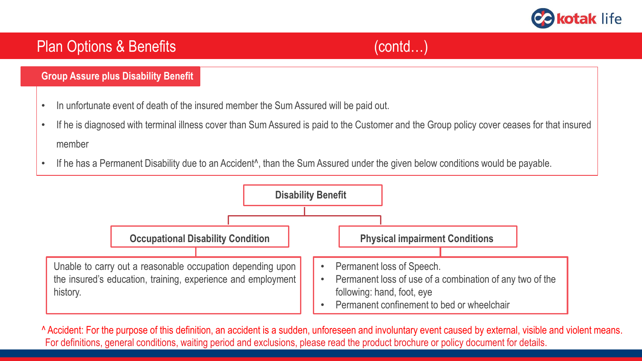

#### **Group Assure plus Disability Benefit**

- In unfortunate event of death of the insured member the Sum Assured will be paid out.
- If he is diagnosed with terminal illness cover than Sum Assured is paid to the Customer and the Group policy cover ceases for that insured member
- If he has a Permanent Disability due to an Accident<sup>\*</sup>, than the Sum Assured under the given below conditions would be payable.



^ Accident: For the purpose of this definition, an accident is a sudden, unforeseen and involuntary event caused by external, visible and violent means. For definitions, general conditions, waiting period and exclusions, please read the product brochure or policy document for details.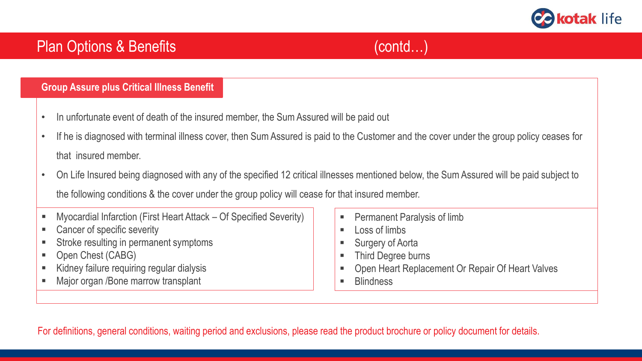

#### **Group Assure plus Critical Illness Benefit**

- In unfortunate event of death of the insured member, the Sum Assured will be paid out
- If he is diagnosed with terminal illness cover, then Sum Assured is paid to the Customer and the cover under the group policy ceases for that insured member.
- On Life Insured being diagnosed with any of the specified 12 critical illnesses mentioned below, the Sum Assured will be paid subject to the following conditions & the cover under the group policy will cease for that insured member.
- Myocardial Infarction (First Heart Attack Of Specified Severity)
- Cancer of specific severity
- Stroke resulting in permanent symptoms
- Open Chest (CABG)
- Kidney failure requiring regular dialysis
- Major organ /Bone marrow transplant
- Permanent Paralysis of limb
- $\blacksquare$  Loss of limbs
- Surgery of Aorta
- Third Degree burns
- Open Heart Replacement Or Repair Of Heart Valves
- **Blindness**

For definitions, general conditions, waiting period and exclusions, please read the product brochure or policy document for details.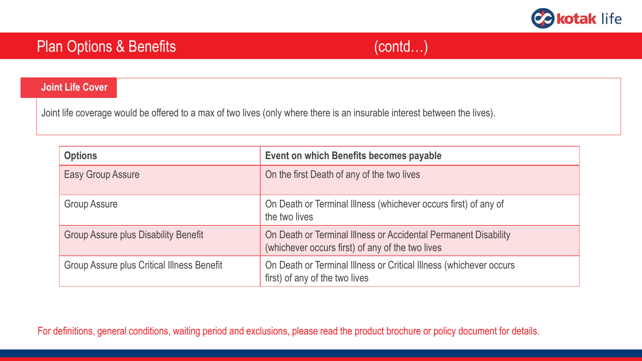

#### **Joint Life Cover**

Joint life coverage would be offered to a max of two lives (only where there is an insurable interest between the lives).

| <b>Options</b>                                    | Event on which Benefits becomes payable                                                                             |  |
|---------------------------------------------------|---------------------------------------------------------------------------------------------------------------------|--|
| <b>Easy Group Assure</b>                          | On the first Death of any of the two lives                                                                          |  |
| <b>Group Assure</b>                               | On Death or Terminal Illness (whichever occurs first) of any of<br>the two lives                                    |  |
| <b>Group Assure plus Disability Benefit</b>       | On Death or Terminal Illness or Accidental Permanent Disability<br>(whichever occurs first) of any of the two lives |  |
| <b>Group Assure plus Critical Illness Benefit</b> | On Death or Terminal Illness or Critical Illness (whichever occurs<br>first) of any of the two lives                |  |

For definitions, general conditions, waiting period and exclusions, please read the product brochure or policy document for details.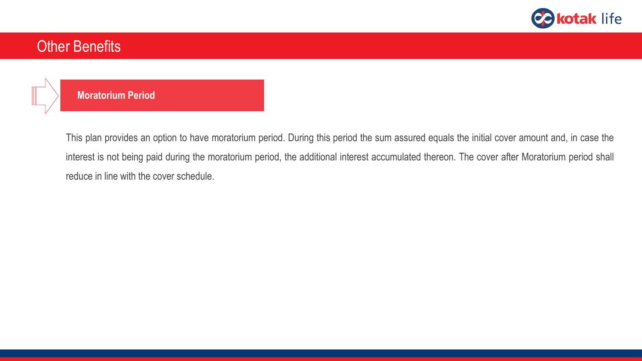

## Other Benefits



#### **Moratorium Period**

This plan provides an option to have moratorium period. During this period the sum assured equals the initial cover amount and, in case the interest is not being paid during the moratorium period, the additional interest accumulated thereon. The cover after Moratorium period shall reduce in line with the cover schedule.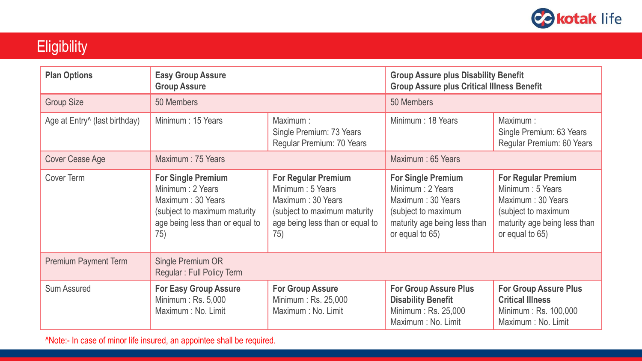

# **Eligibility**

| <b>Plan Options</b>                       | <b>Easy Group Assure</b><br><b>Group Assure</b>                                                                                                |                                                                                                                                                | <b>Group Assure plus Disability Benefit</b><br><b>Group Assure plus Critical Illness Benefit</b>                                             |                                                                                                                                                |  |
|-------------------------------------------|------------------------------------------------------------------------------------------------------------------------------------------------|------------------------------------------------------------------------------------------------------------------------------------------------|----------------------------------------------------------------------------------------------------------------------------------------------|------------------------------------------------------------------------------------------------------------------------------------------------|--|
| <b>Group Size</b>                         | 50 Members                                                                                                                                     |                                                                                                                                                | 50 Members                                                                                                                                   |                                                                                                                                                |  |
| Age at Entry <sup>^</sup> (last birthday) | Minimum: 15 Years                                                                                                                              | Maximum:<br>Single Premium: 73 Years<br>Regular Premium: 70 Years                                                                              | Minimum: 18 Years                                                                                                                            | Maximum:<br>Single Premium: 63 Years<br>Regular Premium: 60 Years                                                                              |  |
| <b>Cover Cease Age</b>                    | Maximum: 75 Years                                                                                                                              |                                                                                                                                                | Maximum: 65 Years                                                                                                                            |                                                                                                                                                |  |
| <b>Cover Term</b>                         | <b>For Single Premium</b><br>Minimum : 2 Years<br>Maximum: 30 Years<br>(subject to maximum maturity)<br>age being less than or equal to<br>75) | <b>For Regular Premium</b><br>Minimum : 5 Years<br>Maximum: 30 Years<br>(subject to maximum maturity<br>age being less than or equal to<br>75) | <b>For Single Premium</b><br>Minimum: 2 Years<br>Maximum: 30 Years<br>(subject to maximum<br>maturity age being less than<br>or equal to 65) | <b>For Regular Premium</b><br>Minimum : 5 Years<br>Maximum: 30 Years<br>(subject to maximum<br>maturity age being less than<br>or equal to 65) |  |
| <b>Premium Payment Term</b>               | <b>Single Premium OR</b><br><b>Regular: Full Policy Term</b>                                                                                   |                                                                                                                                                |                                                                                                                                              |                                                                                                                                                |  |
| <b>Sum Assured</b>                        | <b>For Easy Group Assure</b><br>Minimum: Rs. 5,000<br>Maximum : No. Limit                                                                      | <b>For Group Assure</b><br>Minimum: Rs. 25,000<br>Maximum : No. Limit                                                                          | <b>For Group Assure Plus</b><br><b>Disability Benefit</b><br>Minimum: Rs. 25,000<br>Maximum: No. Limit                                       | <b>For Group Assure Plus</b><br><b>Critical Illness</b><br>Minimum: Rs. 100,000<br>Maximum: No. Limit                                          |  |

^Note:- In case of minor life insured, an appointee shall be required.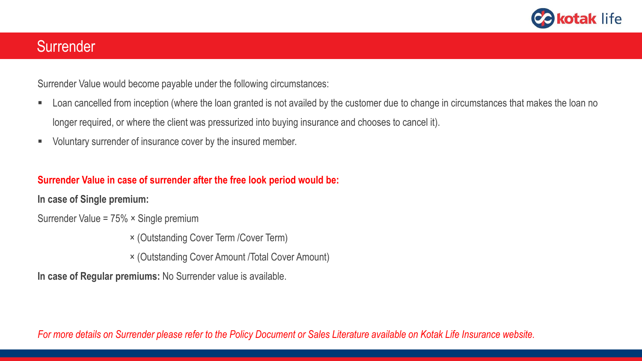

## **Surrender**

Surrender Value would become payable under the following circumstances:

- Loan cancelled from inception (where the loan granted is not availed by the customer due to change in circumstances that makes the loan no longer required, or where the client was pressurized into buying insurance and chooses to cancel it).
- Voluntary surrender of insurance cover by the insured member.

### **Surrender Value in case of surrender after the free look period would be:**

**In case of Single premium:**

Surrender Value = 75% × Single premium

× (Outstanding Cover Term /Cover Term)

× (Outstanding Cover Amount /Total Cover Amount)

**In case of Regular premiums:** No Surrender value is available.

For more details on Surrender please refer to the Policy Document or Sales Literature available on Kotak Life Insurance website.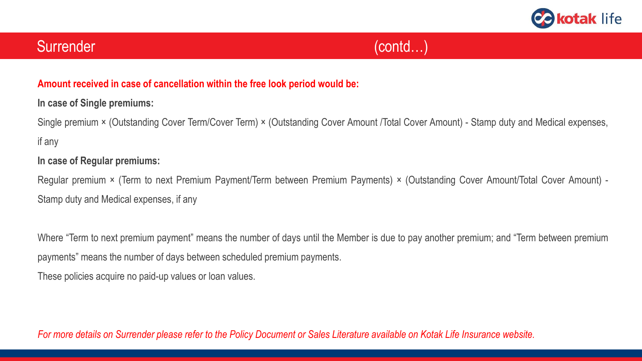

## **Amount received in case of cancellation within the free look period would be:**

## **In case of Single premiums:**

Single premium × (Outstanding Cover Term/Cover Term) × (Outstanding Cover Amount /Total Cover Amount) - Stamp duty and Medical expenses, if any

## **In case of Regular premiums:**

Regular premium × (Term to next Premium Payment/Term between Premium Payments) × (Outstanding Cover Amount/Total Cover Amount) - Stamp duty and Medical expenses, if any

Where "Term to next premium payment" means the number of days until the Member is due to pay another premium; and "Term between premium payments" means the number of days between scheduled premium payments.

These policies acquire no paid-up values or loan values.

For more details on Surrender please refer to the Policy Document or Sales Literature available on Kotak Life Insurance website.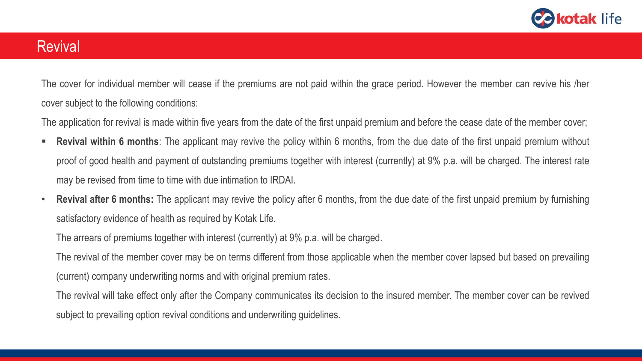

## **Revival**

The cover for individual member will cease if the premiums are not paid within the grace period. However the member can revive his /her cover subject to the following conditions:

The application for revival is made within five years from the date of the first unpaid premium and before the cease date of the member cover;

- **Revival within 6 months**: The applicant may revive the policy within 6 months, from the due date of the first unpaid premium without proof of good health and payment of outstanding premiums together with interest (currently) at 9% p.a. will be charged. The interest rate may be revised from time to time with due intimation to IRDAI.
- **Revival after 6 months:** The applicant may revive the policy after 6 months, from the due date of the first unpaid premium by furnishing satisfactory evidence of health as required by Kotak Life.

The arrears of premiums together with interest (currently) at 9% p.a. will be charged.

The revival of the member cover may be on terms different from those applicable when the member cover lapsed but based on prevailing (current) company underwriting norms and with original premium rates.

The revival will take effect only after the Company communicates its decision to the insured member. The member cover can be revived subject to prevailing option revival conditions and underwriting guidelines.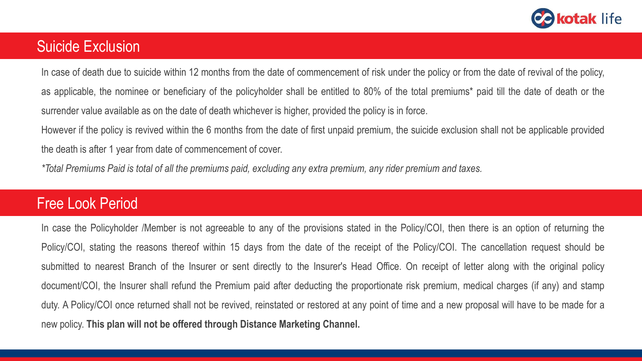

## Suicide Exclusion

In case of death due to suicide within 12 months from the date of commencement of risk under the policy or from the date of revival of the policy, as applicable, the nominee or beneficiary of the policyholder shall be entitled to 80% of the total premiums\* paid till the date of death or the surrender value available as on the date of death whichever is higher, provided the policy is in force.

However if the policy is revived within the 6 months from the date of first unpaid premium, the suicide exclusion shall not be applicable provided the death is after 1 year from date of commencement of cover.

\*Total Premiums Paid is total of all the premiums paid, excluding any extra premium, any rider premium and taxes.

# Free Look Period

In case the Policyholder /Member is not agreeable to any of the provisions stated in the Policy/COI, then there is an option of returning the Policy/COI, stating the reasons thereof within 15 days from the date of the receipt of the Policy/COI. The cancellation request should be submitted to nearest Branch of the Insurer or sent directly to the Insurer's Head Office. On receipt of letter along with the original policy document/COI, the Insurer shall refund the Premium paid after deducting the proportionate risk premium, medical charges (if any) and stamp duty. A Policy/COI once returned shall not be revived, reinstated or restored at any point of time and a new proposal will have to be made for a new policy. **This plan will not be offered through Distance Marketing Channel.**